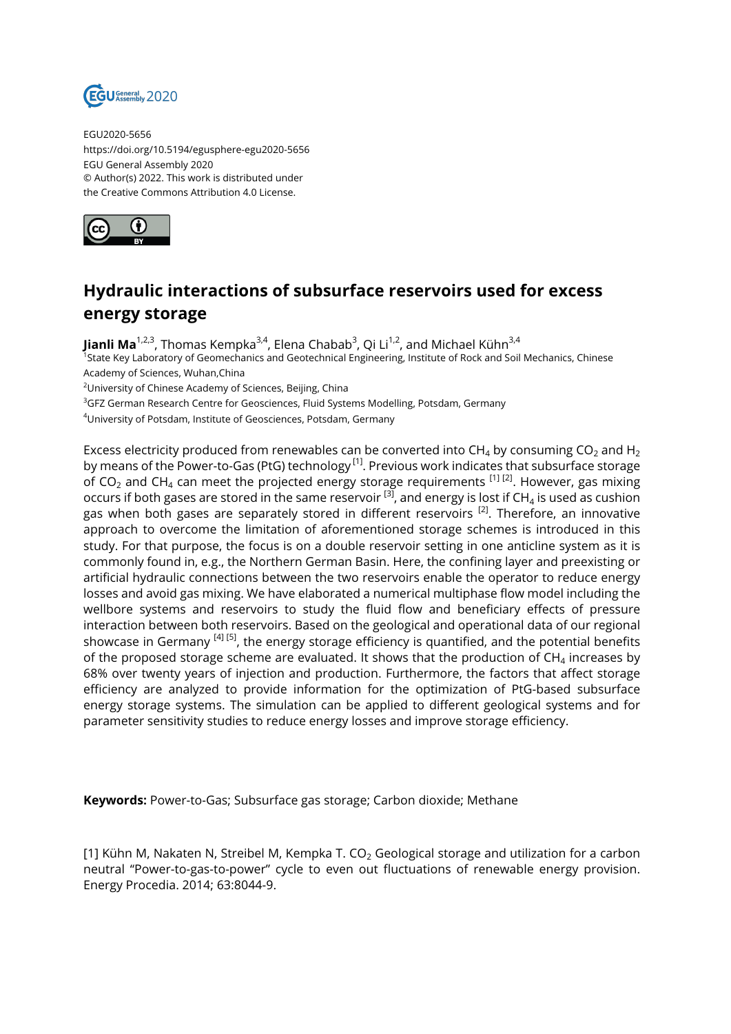

EGU2020-5656 https://doi.org/10.5194/egusphere-egu2020-5656 EGU General Assembly 2020 © Author(s) 2022. This work is distributed under the Creative Commons Attribution 4.0 License.



## **Hydraulic interactions of subsurface reservoirs used for excess energy storage**

**Jianli Ma**<sup>1,2,3</sup>, Thomas Kempka<sup>3,4</sup>, Elena Chabab<sup>3</sup>, Qi Li<sup>1,2</sup>, and Michael Kühn<sup>3,4</sup> <sup>1</sup>State Key Laboratory of Geomechanics and Geotechnical Engineering, Institute of Rock and Soil Mechanics, Chinese Academy of Sciences, Wuhan,China

<sup>2</sup>University of Chinese Academy of Sciences, Beijing, China

<sup>3</sup>GFZ German Research Centre for Geosciences, Fluid Systems Modelling, Potsdam, Germany

<sup>4</sup>University of Potsdam, Institute of Geosciences, Potsdam, Germany

Excess electricity produced from renewables can be converted into CH<sub>4</sub> by consuming CO<sub>2</sub> and H<sub>2</sub> by means of the Power-to-Gas (PtG) technology  $[1]$ . Previous work indicates that subsurface storage of CO<sub>2</sub> and CH<sub>4</sub> can meet the projected energy storage requirements <sup>[1] [2]</sup>. However, gas mixing occurs if both gases are stored in the same reservoir  $^{\text{\tiny{[3]}}}$ , and energy is lost if CH<sub>4</sub> is used as cushion gas when both gases are separately stored in different reservoirs  $^{[2]}$ . Therefore, an innovative approach to overcome the limitation of aforementioned storage schemes is introduced in this study. For that purpose, the focus is on a double reservoir setting in one anticline system as it is commonly found in, e.g., the Northern German Basin. Here, the confining layer and preexisting or artificial hydraulic connections between the two reservoirs enable the operator to reduce energy losses and avoid gas mixing. We have elaborated a numerical multiphase flow model including the wellbore systems and reservoirs to study the fluid flow and beneficiary effects of pressure interaction between both reservoirs. Based on the geological and operational data of our regional showcase in Germany  $^{[4] [5]}$ , the energy storage efficiency is quantified, and the potential benefits of the proposed storage scheme are evaluated. It shows that the production of CH $_4$  increases by 68% over twenty years of injection and production. Furthermore, the factors that affect storage efficiency are analyzed to provide information for the optimization of PtG-based subsurface energy storage systems. The simulation can be applied to different geological systems and for parameter sensitivity studies to reduce energy losses and improve storage efficiency.

**Keywords:** Power-to-Gas; Subsurface gas storage; Carbon dioxide; Methane

[1] Kühn M, Nakaten N, Streibel M, Kempka T.  $CO<sub>2</sub>$  Geological storage and utilization for a carbon neutral "Power-to-gas-to-power" cycle to even out fluctuations of renewable energy provision. Energy Procedia. 2014; 63:8044-9.